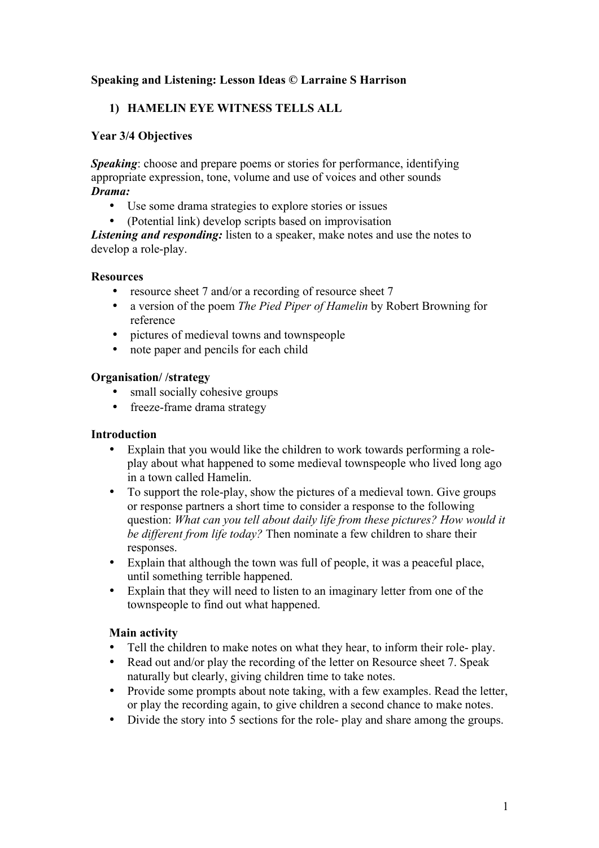# **Speaking and Listening: Lesson Ideas © Larraine S Harrison**

# **1) HAMELIN EYE WITNESS TELLS ALL**

# **Year 3/4 Objectives**

*Speaking*: choose and prepare poems or stories for performance, identifying appropriate expression, tone, volume and use of voices and other sounds *Drama:*

- Use some drama strategies to explore stories or issues
- (Potential link) develop scripts based on improvisation

*Listening and responding:* listen to a speaker, make notes and use the notes to develop a role-play.

### **Resources**

- resource sheet 7 and/or a recording of resource sheet 7
- a version of the poem *The Pied Piper of Hamelin* by Robert Browning for reference
- pictures of medieval towns and townspeople
- note paper and pencils for each child

### **Organisation/ /strategy**

- small socially cohesive groups
- freeze-frame drama strategy

#### **Introduction**

- Explain that you would like the children to work towards performing a roleplay about what happened to some medieval townspeople who lived long ago in a town called Hamelin.
- To support the role-play, show the pictures of a medieval town. Give groups or response partners a short time to consider a response to the following question: *What can you tell about daily life from these pictures? How would it be different from life today?* Then nominate a few children to share their responses.
- Explain that although the town was full of people, it was a peaceful place, until something terrible happened.
- Explain that they will need to listen to an imaginary letter from one of the townspeople to find out what happened.

# **Main activity**

- Tell the children to make notes on what they hear, to inform their role- play.
- Read out and/or play the recording of the letter on Resource sheet 7. Speak naturally but clearly, giving children time to take notes.
- Provide some prompts about note taking, with a few examples. Read the letter, or play the recording again, to give children a second chance to make notes.
- Divide the story into 5 sections for the role- play and share among the groups.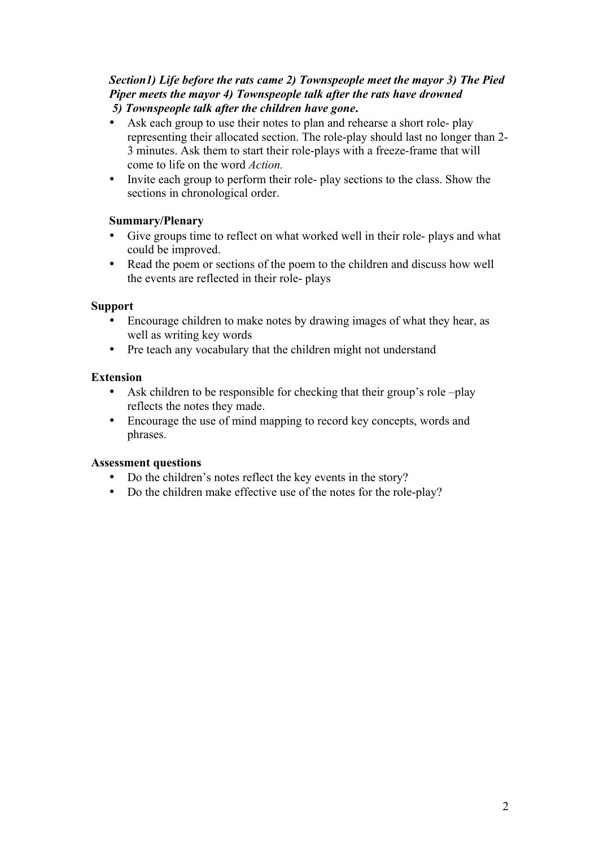### *Section1) Life before the rats came 2) Townspeople meet the mayor 3) The Pied Piper meets the mayor 4) Townspeople talk after the rats have drowned 5) Townspeople talk after the children have gone***.**

- Ask each group to use their notes to plan and rehearse a short role- play representing their allocated section. The role-play should last no longer than 2- 3 minutes. Ask them to start their role-plays with a freeze-frame that will come to life on the word *Action.*
- Invite each group to perform their role- play sections to the class. Show the sections in chronological order.

# **Summary/Plenary**

- Give groups time to reflect on what worked well in their role- plays and what could be improved.
- Read the poem or sections of the poem to the children and discuss how well the events are reflected in their role- plays

# **Support**

- Encourage children to make notes by drawing images of what they hear, as well as writing key words
- Pre teach any vocabulary that the children might not understand

# **Extension**

- Ask children to be responsible for checking that their group's role –play reflects the notes they made.
- Encourage the use of mind mapping to record key concepts, words and phrases.

# **Assessment questions**

- Do the children's notes reflect the key events in the story?
- Do the children make effective use of the notes for the role-play?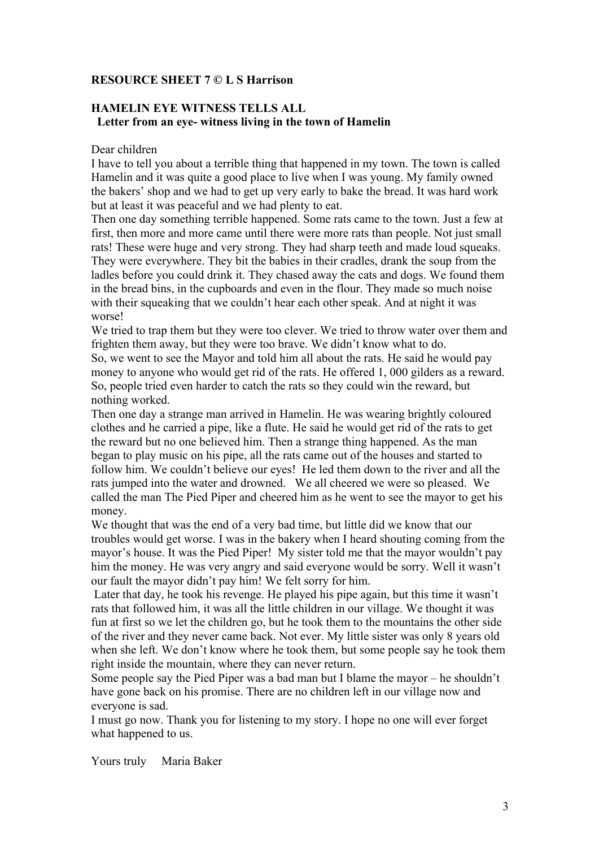# **RESOURCE SHEET 7 © L S Harrison**

# **HAMELIN EYE WITNESS TELLS ALL Letter from an eye- witness living in the town of Hamelin**

#### Dear children

I have to tell you about a terrible thing that happened in my town. The town is called Hamelin and it was quite a good place to live when I was young. My family owned the bakers' shop and we had to get up very early to bake the bread. It was hard work but at least it was peaceful and we had plenty to eat.

Then one day something terrible happened. Some rats came to the town. Just a few at first, then more and more came until there were more rats than people. Not just small rats! These were huge and very strong. They had sharp teeth and made loud squeaks. They were everywhere. They bit the babies in their cradles, drank the soup from the ladles before you could drink it. They chased away the cats and dogs. We found them in the bread bins, in the cupboards and even in the flour. They made so much noise with their squeaking that we couldn't hear each other speak. And at night it was worse!

We tried to trap them but they were too clever. We tried to throw water over them and frighten them away, but they were too brave. We didn't know what to do.

So, we went to see the Mayor and told him all about the rats. He said he would pay money to anyone who would get rid of the rats. He offered 1, 000 gilders as a reward. So, people tried even harder to catch the rats so they could win the reward, but nothing worked.

Then one day a strange man arrived in Hamelin. He was wearing brightly coloured clothes and he carried a pipe, like a flute. He said he would get rid of the rats to get the reward but no one believed him. Then a strange thing happened. As the man began to play music on his pipe, all the rats came out of the houses and started to follow him. We couldn't believe our eyes! He led them down to the river and all the rats jumped into the water and drowned. We all cheered we were so pleased. We called the man The Pied Piper and cheered him as he went to see the mayor to get his money.

We thought that was the end of a very bad time, but little did we know that our troubles would get worse. I was in the bakery when I heard shouting coming from the mayor's house. It was the Pied Piper! My sister told me that the mayor wouldn't pay him the money. He was very angry and said everyone would be sorry. Well it wasn't our fault the mayor didn't pay him! We felt sorry for him.

Later that day, he took his revenge. He played his pipe again, but this time it wasn't rats that followed him, it was all the little children in our village. We thought it was fun at first so we let the children go, but he took them to the mountains the other side of the river and they never came back. Not ever. My little sister was only 8 years old when she left. We don't know where he took them, but some people say he took them right inside the mountain, where they can never return.

Some people say the Pied Piper was a bad man but I blame the mayor – he shouldn't have gone back on his promise. There are no children left in our village now and everyone is sad.

I must go now. Thank you for listening to my story. I hope no one will ever forget what happened to us.

Yours truly Maria Baker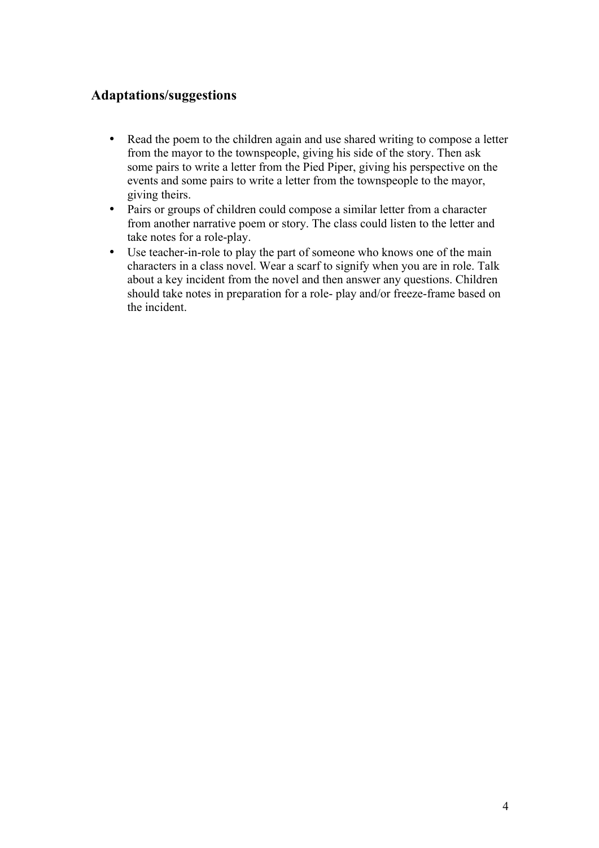# **Adaptations/suggestions**

- Read the poem to the children again and use shared writing to compose a letter from the mayor to the townspeople, giving his side of the story. Then ask some pairs to write a letter from the Pied Piper, giving his perspective on the events and some pairs to write a letter from the townspeople to the mayor, giving theirs.
- Pairs or groups of children could compose a similar letter from a character from another narrative poem or story. The class could listen to the letter and take notes for a role-play.
- Use teacher-in-role to play the part of someone who knows one of the main characters in a class novel. Wear a scarf to signify when you are in role. Talk about a key incident from the novel and then answer any questions. Children should take notes in preparation for a role- play and/or freeze-frame based on the incident.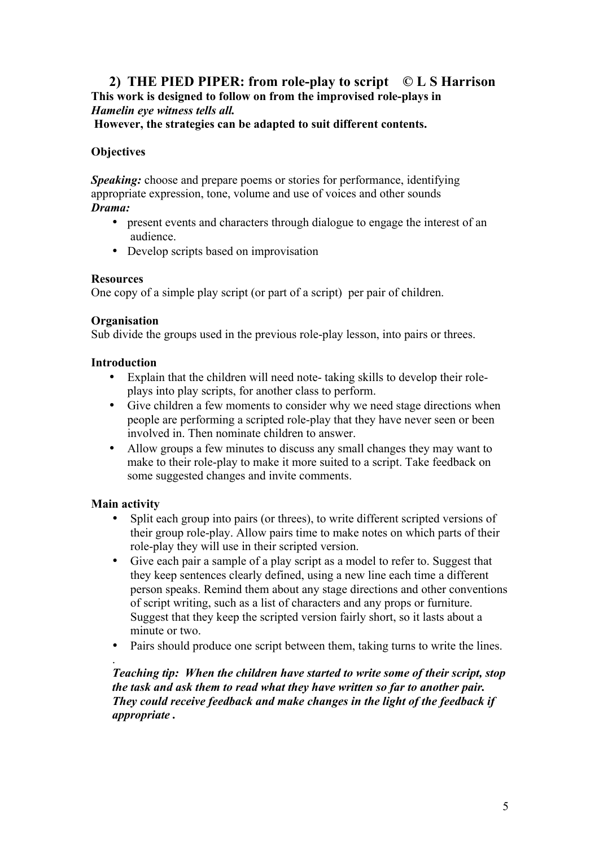# **2) THE PIED PIPER: from role-play to script © L S Harrison This work is designed to follow on from the improvised role-plays in**  *Hamelin eye witness tells all.*

**However, the strategies can be adapted to suit different contents.**

# **Objectives**

*Speaking:* choose and prepare poems or stories for performance, identifying appropriate expression, tone, volume and use of voices and other sounds *Drama:*

- present events and characters through dialogue to engage the interest of an audience.
- Develop scripts based on improvisation

### **Resources**

One copy of a simple play script (or part of a script) per pair of children.

### **Organisation**

Sub divide the groups used in the previous role-play lesson, into pairs or threes.

### **Introduction**

- Explain that the children will need note- taking skills to develop their roleplays into play scripts, for another class to perform.
- Give children a few moments to consider why we need stage directions when people are performing a scripted role-play that they have never seen or been involved in. Then nominate children to answer.
- Allow groups a few minutes to discuss any small changes they may want to make to their role-play to make it more suited to a script. Take feedback on some suggested changes and invite comments.

# **Main activity**

.

- Split each group into pairs (or threes), to write different scripted versions of their group role-play. Allow pairs time to make notes on which parts of their role-play they will use in their scripted version.
- Give each pair a sample of a play script as a model to refer to. Suggest that they keep sentences clearly defined, using a new line each time a different person speaks. Remind them about any stage directions and other conventions of script writing, such as a list of characters and any props or furniture. Suggest that they keep the scripted version fairly short, so it lasts about a minute or two.
- Pairs should produce one script between them, taking turns to write the lines.

### *Teaching tip: When the children have started to write some of their script, stop the task and ask them to read what they have written so far to another pair. They could receive feedback and make changes in the light of the feedback if appropriate .*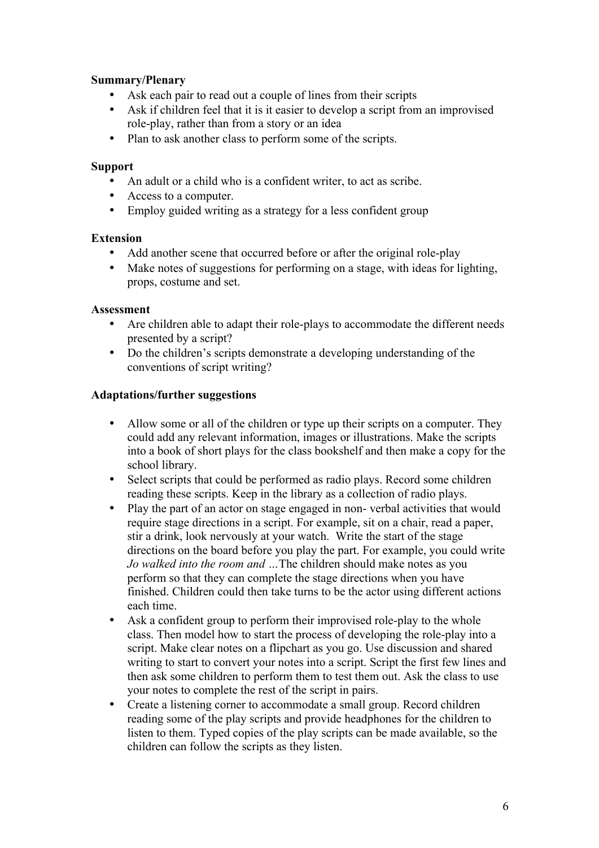# **Summary/Plenary**

- Ask each pair to read out a couple of lines from their scripts
- Ask if children feel that it is it easier to develop a script from an improvised role-play, rather than from a story or an idea
- Plan to ask another class to perform some of the scripts.

# **Support**

- An adult or a child who is a confident writer, to act as scribe.
- Access to a computer.
- Employ guided writing as a strategy for a less confident group

# **Extension**

- Add another scene that occurred before or after the original role-play
- Make notes of suggestions for performing on a stage, with ideas for lighting, props, costume and set.

# **Assessment**

- Are children able to adapt their role-plays to accommodate the different needs presented by a script?
- Do the children's scripts demonstrate a developing understanding of the conventions of script writing?

# **Adaptations/further suggestions**

- Allow some or all of the children or type up their scripts on a computer. They could add any relevant information, images or illustrations. Make the scripts into a book of short plays for the class bookshelf and then make a copy for the school library.
- Select scripts that could be performed as radio plays. Record some children reading these scripts. Keep in the library as a collection of radio plays.
- Play the part of an actor on stage engaged in non-verbal activities that would require stage directions in a script. For example, sit on a chair, read a paper, stir a drink, look nervously at your watch. Write the start of the stage directions on the board before you play the part. For example, you could write *Jo walked into the room and …*The children should make notes as you perform so that they can complete the stage directions when you have finished. Children could then take turns to be the actor using different actions each time.
- Ask a confident group to perform their improvised role-play to the whole class. Then model how to start the process of developing the role-play into a script. Make clear notes on a flipchart as you go. Use discussion and shared writing to start to convert your notes into a script. Script the first few lines and then ask some children to perform them to test them out. Ask the class to use your notes to complete the rest of the script in pairs.
- Create a listening corner to accommodate a small group. Record children reading some of the play scripts and provide headphones for the children to listen to them. Typed copies of the play scripts can be made available, so the children can follow the scripts as they listen.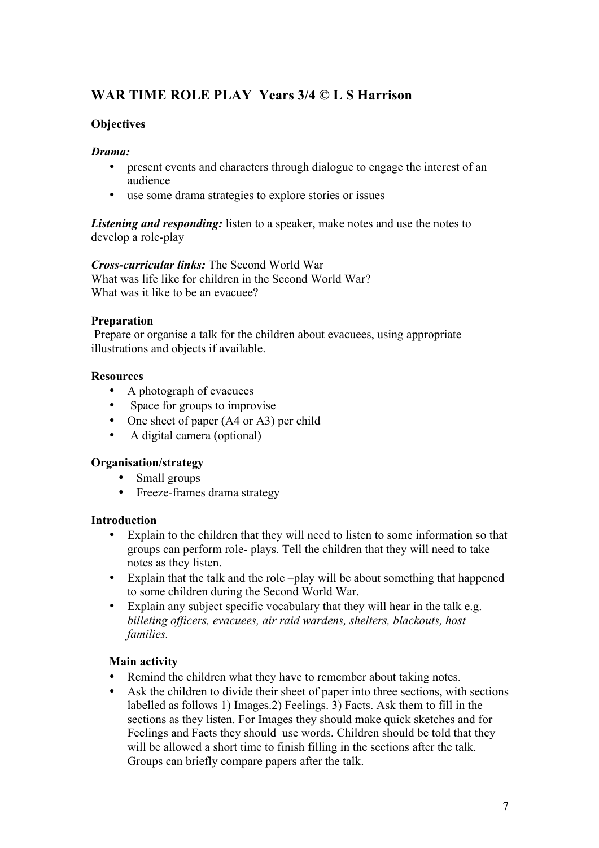# **WAR TIME ROLE PLAY Years 3/4 © L S Harrison**

# **Objectives**

# *Drama:*

- present events and characters through dialogue to engage the interest of an audience
- use some drama strategies to explore stories or issues

*Listening and responding:* listen to a speaker, make notes and use the notes to develop a role-play

*Cross-curricular links:* The Second World War What was life like for children in the Second World War? What was it like to be an evacuee?

# **Preparation**

Prepare or organise a talk for the children about evacuees, using appropriate illustrations and objects if available.

# **Resources**

- A photograph of evacuees
- Space for groups to improvise
- One sheet of paper (A4 or A3) per child
- A digital camera (optional)

# **Organisation/strategy**

- Small groups
- Freeze-frames drama strategy

# **Introduction**

- Explain to the children that they will need to listen to some information so that groups can perform role- plays. Tell the children that they will need to take notes as they listen.
- Explain that the talk and the role –play will be about something that happened to some children during the Second World War.
- Explain any subject specific vocabulary that they will hear in the talk e.g. *billeting officers, evacuees, air raid wardens, shelters, blackouts, host families.*

# **Main activity**

- Remind the children what they have to remember about taking notes.
- Ask the children to divide their sheet of paper into three sections, with sections labelled as follows 1) Images.2) Feelings. 3) Facts. Ask them to fill in the sections as they listen. For Images they should make quick sketches and for Feelings and Facts they should use words. Children should be told that they will be allowed a short time to finish filling in the sections after the talk. Groups can briefly compare papers after the talk.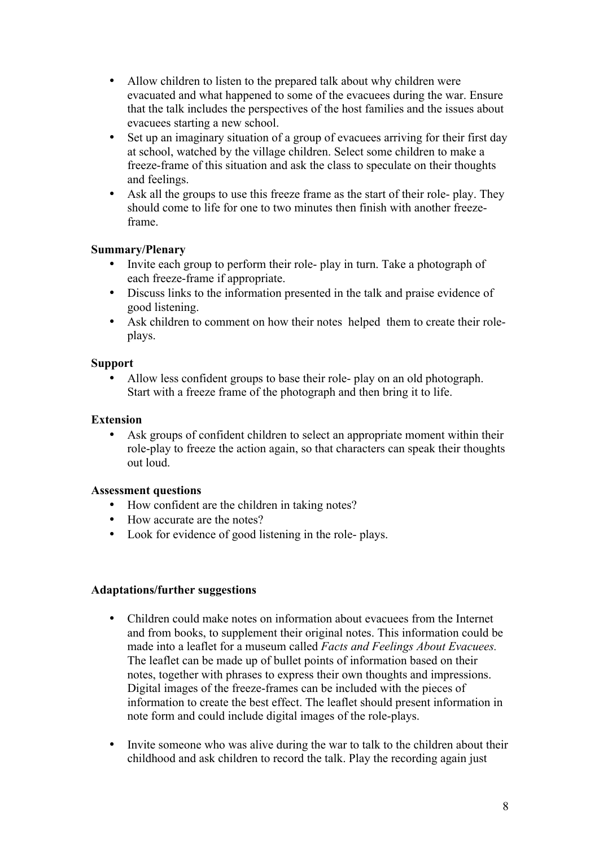- Allow children to listen to the prepared talk about why children were evacuated and what happened to some of the evacuees during the war. Ensure that the talk includes the perspectives of the host families and the issues about evacuees starting a new school.
- Set up an imaginary situation of a group of evacuees arriving for their first day at school, watched by the village children. Select some children to make a freeze-frame of this situation and ask the class to speculate on their thoughts and feelings.
- Ask all the groups to use this freeze frame as the start of their role- play. They should come to life for one to two minutes then finish with another freezeframe.

# **Summary/Plenary**

- Invite each group to perform their role- play in turn. Take a photograph of each freeze-frame if appropriate.
- Discuss links to the information presented in the talk and praise evidence of good listening.
- Ask children to comment on how their notes helped them to create their roleplays.

### **Support**

• Allow less confident groups to base their role- play on an old photograph. Start with a freeze frame of the photograph and then bring it to life.

### **Extension**

Ask groups of confident children to select an appropriate moment within their role-play to freeze the action again, so that characters can speak their thoughts out loud.

#### **Assessment questions**

- How confident are the children in taking notes?
- How accurate are the notes?
- Look for evidence of good listening in the role- plays.

#### **Adaptations/further suggestions**

- Children could make notes on information about evacuees from the Internet and from books, to supplement their original notes. This information could be made into a leaflet for a museum called *Facts and Feelings About Evacuees.*  The leaflet can be made up of bullet points of information based on their notes, together with phrases to express their own thoughts and impressions. Digital images of the freeze-frames can be included with the pieces of information to create the best effect. The leaflet should present information in note form and could include digital images of the role-plays.
- Invite someone who was alive during the war to talk to the children about their childhood and ask children to record the talk. Play the recording again just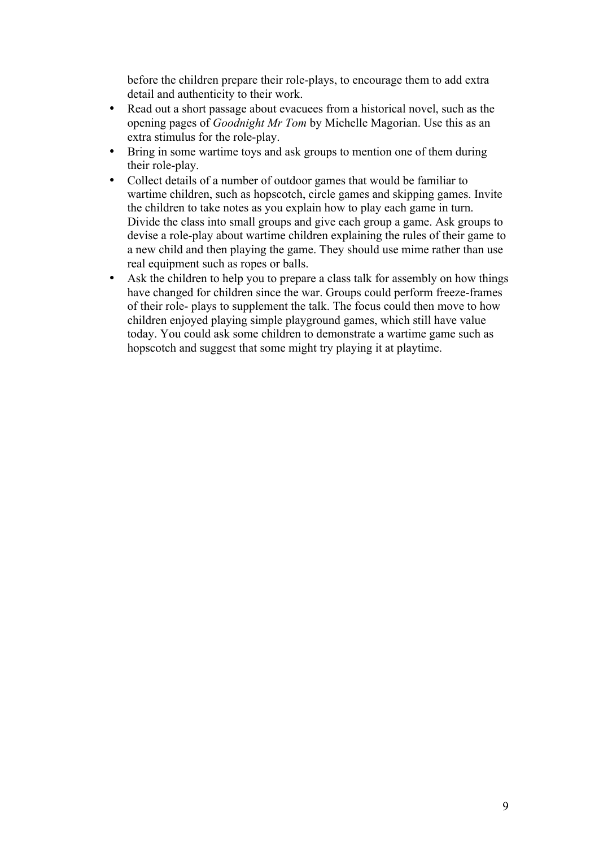before the children prepare their role-plays, to encourage them to add extra detail and authenticity to their work.

- Read out a short passage about evacuees from a historical novel, such as the opening pages of *Goodnight Mr Tom* by Michelle Magorian. Use this as an extra stimulus for the role-play.
- Bring in some wartime toys and ask groups to mention one of them during their role-play.
- Collect details of a number of outdoor games that would be familiar to wartime children, such as hopscotch, circle games and skipping games. Invite the children to take notes as you explain how to play each game in turn. Divide the class into small groups and give each group a game. Ask groups to devise a role-play about wartime children explaining the rules of their game to a new child and then playing the game. They should use mime rather than use real equipment such as ropes or balls.
- Ask the children to help you to prepare a class talk for assembly on how things have changed for children since the war. Groups could perform freeze-frames of their role- plays to supplement the talk. The focus could then move to how children enjoyed playing simple playground games, which still have value today. You could ask some children to demonstrate a wartime game such as hopscotch and suggest that some might try playing it at playtime.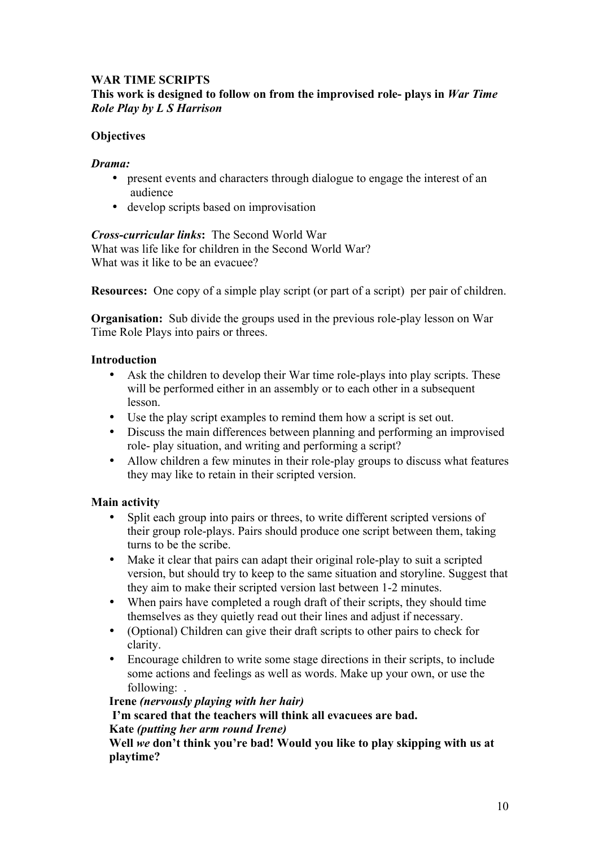### **WAR TIME SCRIPTS This work is designed to follow on from the improvised role- plays in** *War Time Role Play by L S Harrison*

# **Objectives**

### *Drama:*

- present events and characters through dialogue to engage the interest of an audience
- develop scripts based on improvisation

### *Cross-curricular links***:** The Second World War

What was life like for children in the Second World War? What was it like to be an evacuee?

**Resources:** One copy of a simple play script (or part of a script) per pair of children.

**Organisation:** Sub divide the groups used in the previous role-play lesson on War Time Role Plays into pairs or threes.

### **Introduction**

- Ask the children to develop their War time role-plays into play scripts. These will be performed either in an assembly or to each other in a subsequent lesson.
- Use the play script examples to remind them how a script is set out.
- Discuss the main differences between planning and performing an improvised role- play situation, and writing and performing a script?
- Allow children a few minutes in their role-play groups to discuss what features they may like to retain in their scripted version.

# **Main activity**

- Split each group into pairs or threes, to write different scripted versions of their group role-plays. Pairs should produce one script between them, taking turns to be the scribe.
- Make it clear that pairs can adapt their original role-play to suit a scripted version, but should try to keep to the same situation and storyline. Suggest that they aim to make their scripted version last between 1-2 minutes.
- When pairs have completed a rough draft of their scripts, they should time themselves as they quietly read out their lines and adjust if necessary.
- (Optional) Children can give their draft scripts to other pairs to check for clarity.
- Encourage children to write some stage directions in their scripts, to include some actions and feelings as well as words. Make up your own, or use the following: .

**Irene** *(nervously playing with her hair)*

**I'm scared that the teachers will think all evacuees are bad.**

#### **Kate** *(putting her arm round Irene)*

**Well** *we* **don't think you're bad! Would you like to play skipping with us at playtime?**